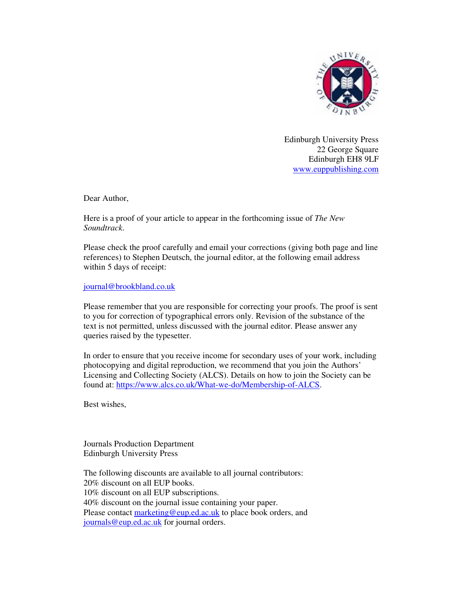

Edinburgh University Press 22 George Square Edinburgh EH8 9LF www.euppublishing.com

Dear Author,

Here is a proof of your article to appear in the forthcoming issue of *The New Soundtrack*.

Please check the proof carefully and email your corrections (giving both page and line references) to Stephen Deutsch, the journal editor, at the following email address within 5 days of receipt:

journal@brookbland.co.uk

Please remember that you are responsible for correcting your proofs. The proof is sent to you for correction of typographical errors only. Revision of the substance of the text is not permitted, unless discussed with the journal editor. Please answer any queries raised by the typesetter.

In order to ensure that you receive income for secondary uses of your work, including photocopying and digital reproduction, we recommend that you join the Authors' Licensing and Collecting Society (ALCS). Details on how to join the Society can be found at: https://www.alcs.co.uk/What-we-do/Membership-of-ALCS.

Best wishes,

Journals Production Department Edinburgh University Press

The following discounts are available to all journal contributors: 20% discount on all EUP books. 10% discount on all EUP subscriptions. 40% discount on the journal issue containing your paper. Please contact marketing@eup.ed.ac.uk to place book orders, and journals@eup.ed.ac.uk for journal orders.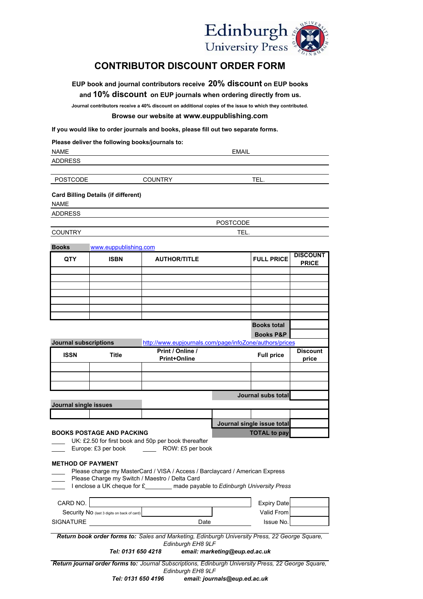

## **CONTRIBUTOR DISCOUNT ORDER FORM**

**EUP book and journal contributors receive 20% discount on EUP books and 10% discount on EUP journals when ordering directly from us.** 

**Journal contributors receive a 40% discount on additional copies of the issue to which they contributed.**

## **Browse our website at www.euppublishing.com**

**If you would like to order journals and books, please fill out two separate forms.**

|                                  |                                             | If you would like to order journals and books, please fill out two separate forms.                                              |                            |                                 |  |
|----------------------------------|---------------------------------------------|---------------------------------------------------------------------------------------------------------------------------------|----------------------------|---------------------------------|--|
|                                  |                                             | Please deliver the following books/journals to:                                                                                 |                            |                                 |  |
| <b>NAME</b>                      | <b>EMAIL</b>                                |                                                                                                                                 |                            |                                 |  |
| <b>ADDRESS</b>                   |                                             |                                                                                                                                 |                            |                                 |  |
| <b>POSTCODE</b>                  |                                             | <b>COUNTRY</b>                                                                                                                  | TEL.                       |                                 |  |
|                                  |                                             |                                                                                                                                 |                            |                                 |  |
| <b>NAME</b>                      | <b>Card Billing Details (if different)</b>  |                                                                                                                                 |                            |                                 |  |
| <b>ADDRESS</b>                   |                                             |                                                                                                                                 |                            |                                 |  |
|                                  |                                             |                                                                                                                                 | <b>POSTCODE</b>            |                                 |  |
| <b>COUNTRY</b>                   | TEL.                                        |                                                                                                                                 |                            |                                 |  |
| <b>Books</b>                     | www.euppublishing.com                       |                                                                                                                                 |                            |                                 |  |
| <b>QTY</b>                       | <b>ISBN</b>                                 | <b>AUTHOR/TITLE</b>                                                                                                             | <b>FULL PRICE</b>          | <b>DISCOUNT</b><br><b>PRICE</b> |  |
|                                  |                                             |                                                                                                                                 |                            |                                 |  |
|                                  |                                             |                                                                                                                                 |                            |                                 |  |
|                                  |                                             |                                                                                                                                 |                            |                                 |  |
|                                  |                                             |                                                                                                                                 |                            |                                 |  |
|                                  |                                             |                                                                                                                                 |                            |                                 |  |
|                                  |                                             |                                                                                                                                 | <b>Books total</b>         |                                 |  |
|                                  |                                             |                                                                                                                                 | <b>Books P&amp;P</b>       |                                 |  |
| <b>Journal subscriptions</b>     |                                             | http://www.eupjournals.com/page/infoZone/authors/prices                                                                         |                            |                                 |  |
| <b>ISSN</b>                      | <b>Title</b>                                | Print / Online /<br><b>Print+Online</b>                                                                                         | <b>Full price</b>          | <b>Discount</b><br>price        |  |
|                                  |                                             |                                                                                                                                 |                            |                                 |  |
|                                  |                                             |                                                                                                                                 |                            |                                 |  |
|                                  |                                             |                                                                                                                                 |                            |                                 |  |
| <b>Journal single issues</b>     |                                             |                                                                                                                                 | Journal subs total         |                                 |  |
|                                  |                                             |                                                                                                                                 |                            |                                 |  |
|                                  |                                             |                                                                                                                                 | Journal single issue total |                                 |  |
| <b>BOOKS POSTAGE AND PACKING</b> |                                             |                                                                                                                                 | <b>TOTAL to pay</b>        |                                 |  |
|                                  |                                             | UK: £2.50 for first book and 50p per book thereafter                                                                            |                            |                                 |  |
|                                  | Europe: £3 per book                         | ROW: £5 per book                                                                                                                |                            |                                 |  |
| <b>METHOD OF PAYMENT</b>         |                                             |                                                                                                                                 |                            |                                 |  |
|                                  |                                             | Please charge my MasterCard / VISA / Access / Barclaycard / American Express                                                    |                            |                                 |  |
|                                  |                                             | Please Charge my Switch / Maestro / Delta Card<br>I enclose a UK cheque for £ ______ made payable to Edinburgh University Press |                            |                                 |  |
| CARD NO.                         |                                             |                                                                                                                                 | <b>Expiry Date</b>         |                                 |  |
|                                  | Security No (last 3 digits on back of card) |                                                                                                                                 | Valid From                 |                                 |  |
| <b>SIGNATURE</b>                 |                                             | Date                                                                                                                            | Issue No.                  |                                 |  |

*Return book order forms to: Sales and Marketing, Edinburgh University Press, 22 George Square, Edinburgh EH8 9LF* 

*Tel: 0131 650 4218 email: marketing@eup.ed.ac.uk*

*Return journal order forms to: Journal Subscriptions, Edinburgh University Press, 22 George Square, Edinburgh EH8 9LF* 

*Tel: 0131 650 4196 email: journals@eup.ed.ac.uk*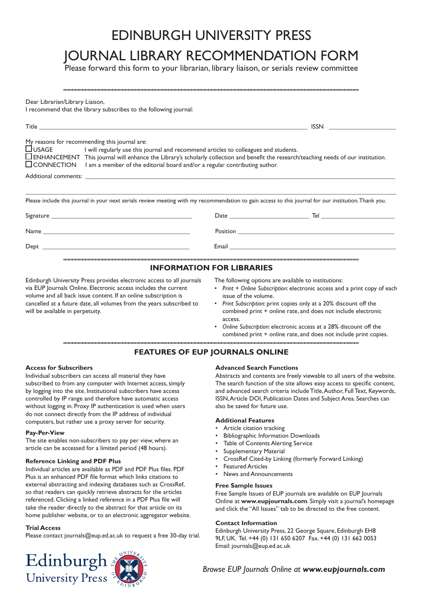# EDINBURGH UNIVERSITY PRESS

# JOURNAL LIBRARY RECOMMENDATION FORM

Please forward this form to your librarian, library liaison, or serials review committee

| Dear Librarian/Library Liaison,<br>I recommend that the library subscribes to the following journal:                                                                                                                                                                                                                                                                                              |                                                                                                                |  |  |  |  |
|---------------------------------------------------------------------------------------------------------------------------------------------------------------------------------------------------------------------------------------------------------------------------------------------------------------------------------------------------------------------------------------------------|----------------------------------------------------------------------------------------------------------------|--|--|--|--|
|                                                                                                                                                                                                                                                                                                                                                                                                   |                                                                                                                |  |  |  |  |
| My reasons for recommending this journal are:<br>$\Box$ USAGE I will regularly use this journal and recommend articles to colleagues and students.<br>$\Box$ ENHANCEMENT This journal will enhance the Library's scholarly collection and benefit the research/teaching needs of our institution.<br>$\Box$ CONNECTION I am a member of the editorial board and/or a regular contributing author. |                                                                                                                |  |  |  |  |
|                                                                                                                                                                                                                                                                                                                                                                                                   |                                                                                                                |  |  |  |  |
| Please include this journal in your next serials review meeting with my recommendation to gain access to this journal for our institution. Thank you.                                                                                                                                                                                                                                             |                                                                                                                |  |  |  |  |
|                                                                                                                                                                                                                                                                                                                                                                                                   |                                                                                                                |  |  |  |  |
|                                                                                                                                                                                                                                                                                                                                                                                                   |                                                                                                                |  |  |  |  |
|                                                                                                                                                                                                                                                                                                                                                                                                   | Email 2008 - 2008 - 2008 - 2019 - 2019 - 2019 - 2019 - 2019 - 2019 - 2019 - 2019 - 2019 - 2019 - 2019 - 2019 - |  |  |  |  |
| <b>INFORMATION FOR LIBRARIES</b>                                                                                                                                                                                                                                                                                                                                                                  |                                                                                                                |  |  |  |  |

Edinburgh University Press provides electronic access to all journals via EUP Journals Online. Electronic access includes the current volume and all back issue content. If an online subscription is cancelled at a future date, all volumes from the years subscribed to will be available in perpetuity.

The following options are available to institutions:

- *Print + Online Subscription*: electronic access and a print copy of each *•* issue of the volume.
- *Print Subscription*: print copies only at a 20% discount off the combined print + online rate, and does not include electronic access. *•*
- *Online Subscription*: electronic access at a 28% discount off the combined print + online rate, and does not include print copies. *•*

## **FEATURES OF EUP JOURNALS ONLINE**

## **Access for Subscribers**

Individual subscribers can access all material they have subscribed to from any computer with Internet access, simply by logging into the site. Institutional subscribers have access controlled by IP range and therefore have automatic access without logging in. Proxy IP authentication is used when users do not connect directly from the IP address of individual computers, but rather use a proxy server for security.

## **Pay-Per-View**

The site enables non-subscribers to pay per view, where an article can be accessed for a limited period (48 hours).

## **Reference Linking and PDF Plus**

Individual articles are available as PDF and PDF Plus files. PDF Plus is an enhanced PDF file format which links citations to external abstracting and indexing databases such as CrossRef, so that readers can quickly retrieve abstracts for the articles referenced. Clicking a linked reference in a PDF Plus file will take the reader directly to the abstract for that article on its home publisher website, or to an electronic aggregator website.

## **Trial Access**

Please contact journals@eup.ed.ac.uk to request a free 30-day trial.



## **Advanced Search Functions**

Abstracts and contents are freely viewable to all users of the website. The search function of the site allows easy access to specific content, and advanced search criteria include Title, Author, Full Text, Keywords, ISSN, Article DOI, Publication Dates and Subject Area. Searches can also be saved for future use.

## **Additional Features**

- Article citation tracking •
- Bibliographic Information Downloads •
- Table of Contents Alerting Service •
- Supplementary Material •
- CrossRef Cited-by Linking (formerly Forward Linking) •
- Featured Articles •
- News and Announcements •

## **Free Sample Issues**

Free Sample Issues of EUP journals are available on EUP Journals Online at **www.eupjournals.com**. Simply visit a journal's homepage and click the "All Issues" tab to be directed to the free content.

### **Contact Information**

Edinburgh University Press, 22 George Square, Edinburgh EH8 9LF, UK. Tel. +44 (0) 131 650 6207 Fax. +44 (0) 131 662 0053 Email: journals@eup.ed.ac.uk

*Browse EUP Journals Online at www.eupjournals.com*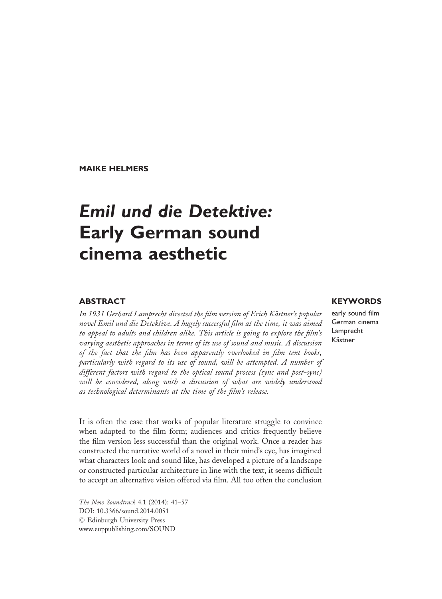MAIKE HELMERS

# Emil und die Detektive: Early German sound cinema aesthetic

### **ABSTRACT**

In 1931 Gerhard Lamprecht directed the film version of Erich Kästner's popular novel Emil und die Detektive. A hugely successful film at the time, it was aimed to appeal to adults and children alike. This article is going to explore the film's varying aesthetic approaches in terms of its use of sound and music. A discussion of the fact that the film has been apparently overlooked in film text books, particularly with regard to its use of sound, will be attempted. A number of different factors with regard to the optical sound process (sync and post-sync) will be considered, along with a discussion of what are widely understood as technological determinants at the time of the film's release.

It is often the case that works of popular literature struggle to convince when adapted to the film form; audiences and critics frequently believe the film version less successful than the original work. Once a reader has constructed the narrative world of a novel in their mind's eye, has imagined what characters look and sound like, has developed a picture of a landscape or constructed particular architecture in line with the text, it seems difficult to accept an alternative vision offered via film. All too often the conclusion

The New Soundtrack 4.1 (2014): 41–57 DOI: 10.3366/sound.2014.0051 © Edinburgh University Press www.euppublishing.com/SOUND

## **KEYWORDS**

early sound film German cinema Lamprecht Kästner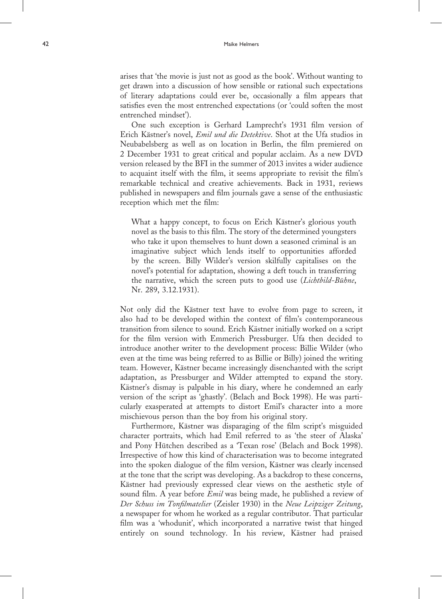#### A<sub>2</sub> Maike Helmers

arises that 'the movie is just not as good as the book'. Without wanting to get drawn into a discussion of how sensible or rational such expectations of literary adaptations could ever be, occasionally a film appears that satisfies even the most entrenched expectations (or 'could soften the most entrenched mindset').

One such exception is Gerhard Lamprecht's 1931 film version of Erich Kästner's novel, Emil und die Detektive. Shot at the Ufa studios in Neubabelsberg as well as on location in Berlin, the film premiered on 2 December 1931 to great critical and popular acclaim. As a new DVD version released by the BFI in the summer of 2013 invites a wider audience to acquaint itself with the film, it seems appropriate to revisit the film's remarkable technical and creative achievements. Back in 1931, reviews published in newspapers and film journals gave a sense of the enthusiastic reception which met the film:

What a happy concept, to focus on Erich Kästner's glorious youth novel as the basis to this film. The story of the determined youngsters who take it upon themselves to hunt down a seasoned criminal is an imaginative subject which lends itself to opportunities afforded by the screen. Billy Wilder's version skilfully capitalises on the novel's potential for adaptation, showing a deft touch in transferring the narrative, which the screen puts to good use (Lichtbild-Bühne, Nr. 289, 3.12.1931).

Not only did the Kästner text have to evolve from page to screen, it also had to be developed within the context of film's contemporaneous transition from silence to sound. Erich Kästner initially worked on a script for the film version with Emmerich Pressburger. Ufa then decided to introduce another writer to the development process: Billie Wilder (who even at the time was being referred to as Billie or Billy) joined the writing team. However, Kästner became increasingly disenchanted with the script adaptation, as Pressburger and Wilder attempted to expand the story. Kästner's dismay is palpable in his diary, where he condemned an early version of the script as 'ghastly'. (Belach and Bock 1998). He was particularly exasperated at attempts to distort Emil's character into a more mischievous person than the boy from his original story.

Furthermore, Kästner was disparaging of the film script's misguided character portraits, which had Emil referred to as 'the steer of Alaska' and Pony Hütchen described as a 'Texan rose' (Belach and Bock 1998). Irrespective of how this kind of characterisation was to become integrated into the spoken dialogue of the film version, Kästner was clearly incensed at the tone that the script was developing. As a backdrop to these concerns, Kästner had previously expressed clear views on the aesthetic style of sound film. A year before *Emil* was being made, he published a review of Der Schuss im Tonfilmatelier (Zeisler 1930) in the Neue Leipziger Zeitung, a newspaper for whom he worked as a regular contributor. That particular film was a 'whodunit', which incorporated a narrative twist that hinged entirely on sound technology. In his review, Kästner had praised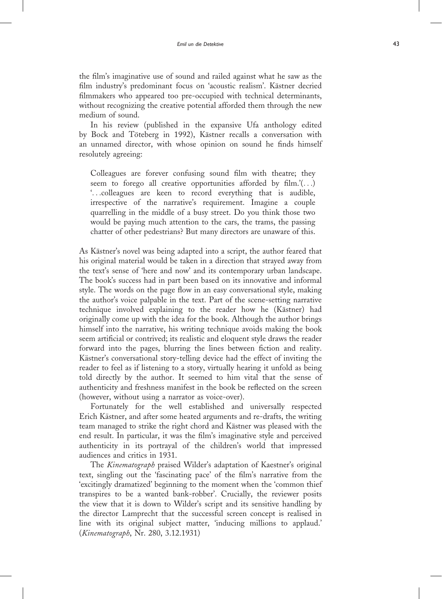the film's imaginative use of sound and railed against what he saw as the film industry's predominant focus on 'acoustic realism'. Kästner decried filmmakers who appeared too pre-occupied with technical determinants, without recognizing the creative potential afforded them through the new medium of sound.

In his review (published in the expansive Ufa anthology edited by Bock and Töteberg in 1992), Kästner recalls a conversation with an unnamed director, with whose opinion on sound he finds himself resolutely agreeing:

Colleagues are forever confusing sound film with theatre; they seem to forego all creative opportunities afforded by film.'(...) '...colleagues are keen to record everything that is audible, irrespective of the narrative's requirement. Imagine a couple quarrelling in the middle of a busy street. Do you think those two would be paying much attention to the cars, the trams, the passing chatter of other pedestrians? But many directors are unaware of this.

As Kästner's novel was being adapted into a script, the author feared that his original material would be taken in a direction that strayed away from the text's sense of 'here and now' and its contemporary urban landscape. The book's success had in part been based on its innovative and informal style. The words on the page flow in an easy conversational style, making the author's voice palpable in the text. Part of the scene-setting narrative technique involved explaining to the reader how he (Kästner) had originally come up with the idea for the book. Although the author brings himself into the narrative, his writing technique avoids making the book seem artificial or contrived; its realistic and eloquent style draws the reader forward into the pages, blurring the lines between fiction and reality. Kästner's conversational story-telling device had the effect of inviting the reader to feel as if listening to a story, virtually hearing it unfold as being told directly by the author. It seemed to him vital that the sense of authenticity and freshness manifest in the book be reflected on the screen (however, without using a narrator as voice-over).

Fortunately for the well established and universally respected Erich Kästner, and after some heated arguments and re-drafts, the writing team managed to strike the right chord and Kästner was pleased with the end result. In particular, it was the film's imaginative style and perceived authenticity in its portrayal of the children's world that impressed audiences and critics in 1931.

The Kinematograph praised Wilder's adaptation of Kaestner's original text, singling out the 'fascinating pace' of the film's narrative from the 'excitingly dramatized' beginning to the moment when the 'common thief transpires to be a wanted bank-robber'. Crucially, the reviewer posits the view that it is down to Wilder's script and its sensitive handling by the director Lamprecht that the successful screen concept is realised in line with its original subject matter, 'inducing millions to applaud.' (Kinematograph, Nr. 280, 3.12.1931)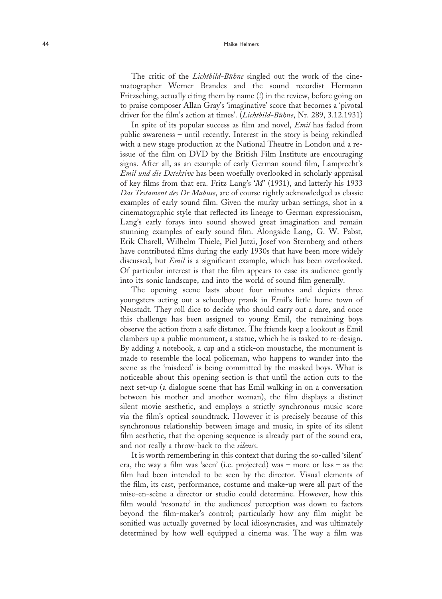The critic of the Lichtbild-Bühne singled out the work of the cinematographer Werner Brandes and the sound recordist Hermann Fritzsching, actually citing them by name (!) in the review, before going on to praise composer Allan Gray's 'imaginative' score that becomes a 'pivotal driver for the film's action at times'. (*Lichtbild-Bühne*, Nr. 289, 3.12.1931)

In spite of its popular success as film and novel, *Emil* has faded from public awareness – until recently. Interest in the story is being rekindled with a new stage production at the National Theatre in London and a reissue of the film on DVD by the British Film Institute are encouraging signs. After all, as an example of early German sound film, Lamprecht's Emil und die Detektive has been woefully overlooked in scholarly appraisal of key films from that era. Fritz Lang's ' M' (1931), and latterly his 1933 Das Testament des Dr Mabuse, are of course rightly acknowledged as classic examples of early sound film. Given the murky urban settings, shot in a cinematographic style that reflected its lineage to German expressionism, Lang's early forays into sound showed great imagination and remain stunning examples of early sound film. Alongside Lang, G. W. Pabst, Erik Charell, Wilhelm Thiele, Piel Jutzi, Josef von Sternberg and others have contributed films during the early 1930s that have been more widely discussed, but *Emil* is a significant example, which has been overlooked. Of particular interest is that the film appears to ease its audience gently into its sonic landscape, and into the world of sound film generally.

The opening scene lasts about four minutes and depicts three youngsters acting out a schoolboy prank in Emil's little home town of Neustadt. They roll dice to decide who should carry out a dare, and once this challenge has been assigned to young Emil, the remaining boys observe the action from a safe distance. The friends keep a lookout as Emil clambers up a public monument, a statue, which he is tasked to re-design. By adding a notebook, a cap and a stick-on moustache, the monument is made to resemble the local policeman, who happens to wander into the scene as the 'misdeed' is being committed by the masked boys. What is noticeable about this opening section is that until the action cuts to the next set-up (a dialogue scene that has Emil walking in on a conversation between his mother and another woman), the film displays a distinct silent movie aesthetic, and employs a strictly synchronous music score via the film's optical soundtrack. However it is precisely because of this synchronous relationship between image and music, in spite of its silent film aesthetic, that the opening sequence is already part of the sound era, and not really a throw-back to the *silents*.

It is worth remembering in this context that during the so-called 'silent' era, the way a film was 'seen' (i.e. projected) was – more or less – as the film had been intended to be seen by the director. Visual elements of the film, its cast, performance, costume and make-up were all part of the mise-en-scène a director or studio could determine. However, how this film would 'resonate' in the audiences' perception was down to factors beyond the film-maker's control; particularly how any film might be sonified was actually governed by local idiosyncrasies, and was ultimately determined by how well equipped a cinema was. The way a film was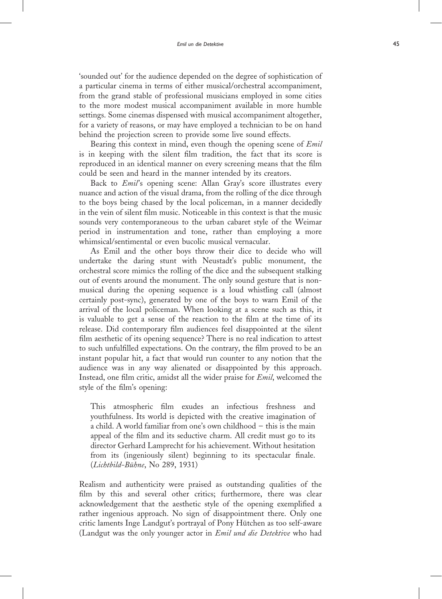'sounded out' for the audience depended on the degree of sophistication of a particular cinema in terms of either musical/orchestral accompaniment, from the grand stable of professional musicians employed in some cities to the more modest musical accompaniment available in more humble settings. Some cinemas dispensed with musical accompaniment altogether, for a variety of reasons, or may have employed a technician to be on hand behind the projection screen to provide some live sound effects.

Bearing this context in mind, even though the opening scene of *Emil* is in keeping with the silent film tradition, the fact that its score is reproduced in an identical manner on every screening means that the film could be seen and heard in the manner intended by its creators.

Back to Emil's opening scene: Allan Gray's score illustrates every nuance and action of the visual drama, from the rolling of the dice through to the boys being chased by the local policeman, in a manner decidedly in the vein of silent film music. Noticeable in this context is that the music sounds very contemporaneous to the urban cabaret style of the Weimar period in instrumentation and tone, rather than employing a more whimsical/sentimental or even bucolic musical vernacular.

As Emil and the other boys throw their dice to decide who will undertake the daring stunt with Neustadt's public monument, the orchestral score mimics the rolling of the dice and the subsequent stalking out of events around the monument. The only sound gesture that is nonmusical during the opening sequence is a loud whistling call (almost certainly post-sync), generated by one of the boys to warn Emil of the arrival of the local policeman. When looking at a scene such as this, it is valuable to get a sense of the reaction to the film at the time of its release. Did contemporary film audiences feel disappointed at the silent film aesthetic of its opening sequence? There is no real indication to attest to such unfulfilled expectations. On the contrary, the film proved to be an instant popular hit, a fact that would run counter to any notion that the audience was in any way alienated or disappointed by this approach. Instead, one film critic, amidst all the wider praise for *Emil*, welcomed the style of the film's opening:

This atmospheric film exudes an infectious freshness and youthfulness. Its world is depicted with the creative imagination of a child. A world familiar from one's own childhood – this is the main appeal of the film and its seductive charm. All credit must go to its director Gerhard Lamprecht for his achievement. Without hesitation from its (ingeniously silent) beginning to its spectacular finale. (Lichtbild-Bühne, No 289, 1931)

Realism and authenticity were praised as outstanding qualities of the film by this and several other critics; furthermore, there was clear acknowledgement that the aesthetic style of the opening exemplified a rather ingenious approach. No sign of disappointment there. Only one critic laments Inge Landgut's portrayal of Pony Hütchen as too self-aware (Landgut was the only younger actor in *Emil und die Detektive* who had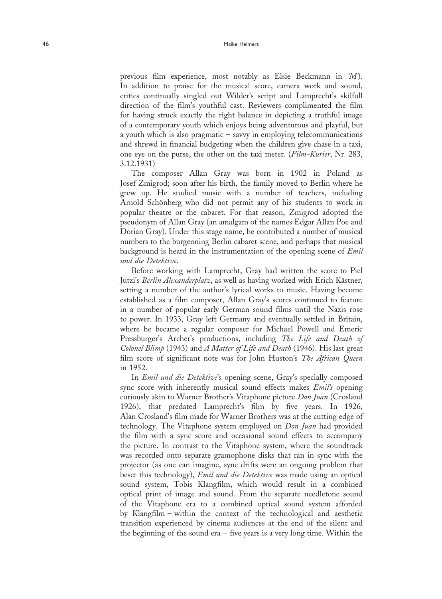previous film experience, most notably as Elsie Beckmann in 'M'). In addition to praise for the musical score, camera work and sound, critics continually singled out Wilder's script and Lamprecht's skilfull direction of the film's youthful cast. Reviewers complimented the film for having struck exactly the right balance in depicting a truthful image of a contemporary youth which enjoys being adventurous and playful, but a youth which is also pragmatic – savvy in employing telecommunications and shrewd in financial budgeting when the children give chase in a taxi, one eye on the purse, the other on the taxi meter. (Film-Kurier, Nr. 283, 3.12.1931)

The composer Allan Gray was born in 1902 in Poland as Josef Zmigrod; soon after his birth, the family moved to Berlin where he grew up. He studied music with a number of teachers, including Arnold Schönberg who did not permit any of his students to work in popular theatre or the cabaret. For that reason, Zmigrod adopted the pseudonym of Allan Gray (an amalgam of the names Edgar Allan Poe and Dorian Gray). Under this stage name, he contributed a number of musical numbers to the burgeoning Berlin cabaret scene, and perhaps that musical background is heard in the instrumentation of the opening scene of Emil und die Detektive .

Before working with Lamprecht, Gray had written the score to Piel Jutzi's Berlin Alexanderplatz, as well as having worked with Erich Kästner, setting a number of the author's lyrical works to music. Having become established as a film composer, Allan Gray's scores continued to feature in a number of popular early German sound films until the Nazis rose to power. In 1933, Gray left Germany and eventually settled in Britain, where he became a regular composer for Michael Powell and Emeric Pressburger's Archer's productions, including The Life and Death of Colonel Blimp (1943) and A Matter of Life and Death (1946). His last great film score of significant note was for John Huston's The African Queen in 1952.

In Emil und die Detektive's opening scene, Gray's specially composed sync score with inherently musical sound effects makes Emil's opening curiously akin to Warner Brother's Vitaphone picture Don Juan (Crosland 1926), that predated Lamprecht's film by five years. In 1926, Alan Crosland's film made for Warner Brothers was at the cutting edge of technology. The Vitaphone system employed on *Don Juan* had provided the film with a sync score and occasional sound effects to accompany the picture. In contrast to the Vitaphone system, where the soundtrack was recorded onto separate gramophone disks that ran in sync with the projector (as one can imagine, sync drifts were an ongoing problem that beset this technology), *Emil und die Detektive* was made using an optical sound system, Tobis Klangfilm, which would result in a combined optical print of image and sound. From the separate needletone sound of the Vitaphone era to a combined optical sound system afforded by Klangfilm – within the context of the technological and aesthetic transition experienced by cinema audiences at the end of the silent and the beginning of the sound era  $-$  five years is a very long time. Within the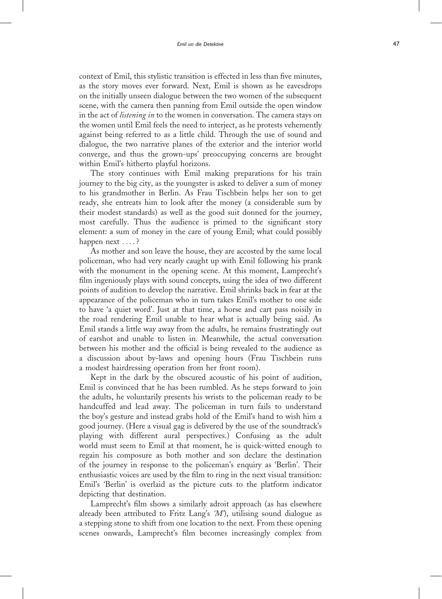context of Emil, this stylistic transition is effected in less than five minutes, as the story moves ever forward. Next, Emil is shown as he eavesdrops on the initially unseen dialogue between the two women of the subsequent scene, with the camera then panning from Emil outside the open window in the act of *listening in* to the women in conversation. The camera stays on the women until Emil feels the need to interject, as he protests vehemently against being referred to as a little child. Through the use of sound and dialogue, the two narrative planes of the exterior and the interior world converge, and thus the grown-ups' preoccupying concerns are brought within Emil's hitherto playful horizons.

The story continues with Emil making preparations for his train journey to the big city, as the youngster is asked to deliver a sum of money to his grandmother in Berlin. As Frau Tischbein helps her son to get ready, she entreats him to look after the money (a considerable sum by their modest standards) as well as the good suit donned for the journey, most carefully. Thus the audience is primed to the significant story element: a sum of money in the care of young Emil; what could possibly happen next ....?

As mother and son leave the house, they are accosted by the same local policeman, who had very nearly caught up with Emil following his prank with the monument in the opening scene. At this moment, Lamprecht's film ingeniously plays with sound concepts, using the idea of two different points of audition to develop the narrative. Emil shrinks back in fear at the appearance of the policeman who in turn takes Emil's mother to one side to have 'a quiet word'. Just at that time, a horse and cart pass noisily in the road rendering Emil unable to hear what is actually being said. As Emil stands a little way away from the adults, he remains frustratingly out of earshot and unable to listen in. Meanwhile, the actual conversation between his mother and the official is being revealed to the audience as a discussion about by-laws and opening hours (Frau Tischbein runs a modest hairdressing operation from her front room).

Kept in the dark by the obscured acoustic of his point of audition, Emil is convinced that he has been rumbled. As he steps forward to join the adults, he voluntarily presents his wrists to the policeman ready to be handcuffed and lead away. The policeman in turn fails to understand the boy's gesture and instead grabs hold of the Emil's hand to wish him a good journey. (Here a visual gag is delivered by the use of the soundtrack's playing with different aural perspectives.) Confusing as the adult world must seem to Emil at that moment, he is quick-witted enough to regain his composure as both mother and son declare the destination of the journey in response to the policeman's enquiry as 'Berlin'. Their enthusiastic voices are used by the film to ring in the next visual transition: Emil's 'Berlin' is overlaid as the picture cuts to the platform indicator depicting that destination.

Lamprecht's film shows a similarly adroit approach (as has elsewhere already been attributed to Fritz Lang's  $M$ ), utilising sound dialogue as a stepping stone to shift from one location to the next. From these opening scenes onwards, Lamprecht's film becomes increasingly complex from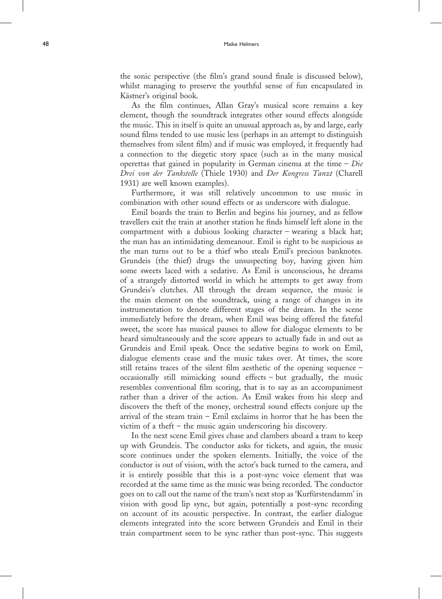the sonic perspective (the film's grand sound finale is discussed below), whilst managing to preserve the youthful sense of fun encapsulated in Kästner's original book.

As the film continues, Allan Gray's musical score remains a key element, though the soundtrack integrates other sound effects alongside the music. This in itself is quite an unusual approach as, by and large, early sound films tended to use music less (perhaps in an attempt to distinguish themselves from silent film) and if music was employed, it frequently had a connection to the diegetic story space (such as in the many musical operettas that gained in popularity in German cinema at the time  $-Die$ Drei von der Tankstelle (Thiele 1930) and Der Kongress Tanzt (Charell 1931) are well known examples).

Furthermore, it was still relatively uncommon to use music in combination with other sound effects or as underscore with dialogue.

Emil boards the train to Berlin and begins his journey, and as fellow travellers exit the train at another station he finds himself left alone in the compartment with a dubious looking character – wearing a black hat; the man has an intimidating demeanour. Emil is right to be suspicious as the man turns out to be a thief who steals Emil's precious banknotes. Grundeis (the thief) drugs the unsuspecting boy, having given him some sweets laced with a sedative. As Emil is unconscious, he dreams of a strangely distorted world in which he attempts to get away from Grundeis's clutches. All through the dream sequence, the music is the main element on the soundtrack, using a range of changes in its instrumentation to denote different stages of the dream. In the scene immediately before the dream, when Emil was being offered the fateful sweet, the score has musical pauses to allow for dialogue elements to be heard simultaneously and the score appears to actually fade in and out as Grundeis and Emil speak. Once the sedative begins to work on Emil, dialogue elements cease and the music takes over. At times, the score still retains traces of the silent film aesthetic of the opening sequence – occasionally still mimicking sound effects – but gradually, the music resembles conventional film scoring, that is to say as an accompaniment rather than a driver of the action. As Emil wakes from his sleep and discovers the theft of the money, orchestral sound effects conjure up the arrival of the steam train – Emil exclaims in horror that he has been the victim of a theft – the music again underscoring his discovery.

In the next scene Emil gives chase and clambers aboard a tram to keep up with Grundeis. The conductor asks for tickets, and again, the music score continues under the spoken elements. Initially, the voice of the conductor is out of vision, with the actor's back turned to the camera, and it is entirely possible that this is a post-sync voice element that was recorded at the same time as the music was being recorded. The conductor goes on to call out the name of the tram's next stop as 'Kurfürstendamm' in vision with good lip sync, but again, potentially a post-sync recording on account of its acoustic perspective. In contrast, the earlier dialogue elements integrated into the score between Grundeis and Emil in their train compartment seem to be sync rather than post-sync. This suggests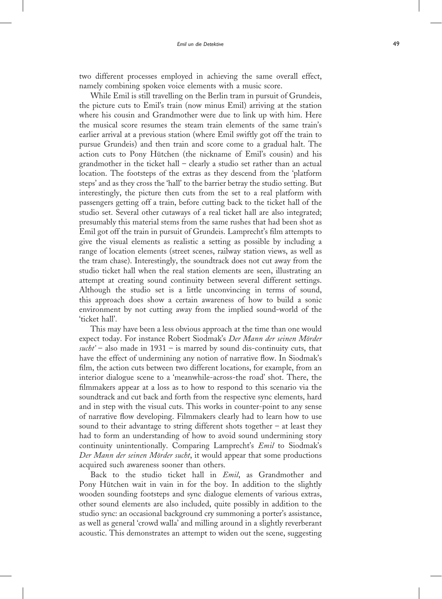two different processes employed in achieving the same overall effect, namely combining spoken voice elements with a music score.

While Emil is still travelling on the Berlin tram in pursuit of Grundeis, the picture cuts to Emil's train (now minus Emil) arriving at the station where his cousin and Grandmother were due to link up with him. Here the musical score resumes the steam train elements of the same train's earlier arrival at a previous station (where Emil swiftly got off the train to pursue Grundeis) and then train and score come to a gradual halt. The action cuts to Pony Hütchen (the nickname of Emil's cousin) and his grandmother in the ticket hall – clearly a studio set rather than an actual location. The footsteps of the extras as they descend from the 'platform steps' and as they cross the 'hall' to the barrier betray the studio setting. But interestingly, the picture then cuts from the set to a real platform with passengers getting off a train, before cutting back to the ticket hall of the studio set. Several other cutaways of a real ticket hall are also integrated; presumably this material stems from the same rushes that had been shot as Emil got off the train in pursuit of Grundeis. Lamprecht's film attempts to give the visual elements as realistic a setting as possible by including a range of location elements (street scenes, railway station views, as well as the tram chase). Interestingly, the soundtrack does not cut away from the studio ticket hall when the real station elements are seen, illustrating an attempt at creating sound continuity between several different settings. Although the studio set is a little unconvincing in terms of sound, this approach does show a certain awareness of how to build a sonic environment by not cutting away from the implied sound-world of the 'ticket hall'.

This may have been a less obvious approach at the time than one would expect today. For instance Robert Siodmak's Der Mann der seinen Mörder sucht' – also made in  $1931$  – is marred by sound dis-continuity cuts, that have the effect of undermining any notion of narrative flow. In Siodmak's film, the action cuts between two different locations, for example, from an interior dialogue scene to a 'meanwhile-across-the road' shot. There, the filmmakers appear at a loss as to how to respond to this scenario via the soundtrack and cut back and forth from the respective sync elements, hard and in step with the visual cuts. This works in counter-point to any sense of narrative flow developing. Filmmakers clearly had to learn how to use sound to their advantage to string different shots together – at least they had to form an understanding of how to avoid sound undermining story continuity unintentionally. Comparing Lamprecht's Emil to Siodmak's Der Mann der seinen Mörder sucht, it would appear that some productions acquired such awareness sooner than others.

Back to the studio ticket hall in Emil, as Grandmother and Pony Hütchen wait in vain in for the boy. In addition to the slightly wooden sounding footsteps and sync dialogue elements of various extras, other sound elements are also included, quite possibly in addition to the studio sync: an occasional background cry summoning a porter's assistance, as well as general 'crowd walla' and milling around in a slightly reverberant acoustic. This demonstrates an attempt to widen out the scene, suggesting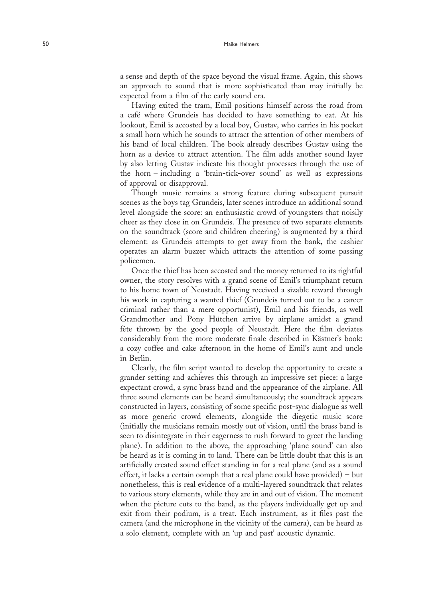a sense and depth of the space beyond the visual frame. Again, this shows an approach to sound that is more sophisticated than may initially be expected from a film of the early sound era.

Having exited the tram, Emil positions himself across the road from a café where Grundeis has decided to have something to eat. At his lookout, Emil is accosted by a local boy, Gustav, who carries in his pocket a small horn which he sounds to attract the attention of other members of his band of local children. The book already describes Gustav using the horn as a device to attract attention. The film adds another sound layer by also letting Gustav indicate his thought processes through the use of the horn – including a 'brain-tick-over sound' as well as expressions of approval or disapproval.

Though music remains a strong feature during subsequent pursuit scenes as the boys tag Grundeis, later scenes introduce an additional sound level alongside the score: an enthusiastic crowd of youngsters that noisily cheer as they close in on Grundeis. The presence of two separate elements on the soundtrack (score and children cheering) is augmented by a third element: as Grundeis attempts to get away from the bank, the cashier operates an alarm buzzer which attracts the attention of some passing policemen.

Once the thief has been accosted and the money returned to its rightful owner, the story resolves with a grand scene of Emil's triumphant return to his home town of Neustadt. Having received a sizable reward through his work in capturing a wanted thief (Grundeis turned out to be a career criminal rather than a mere opportunist), Emil and his friends, as well Grandmother and Pony Hütchen arrive by airplane amidst a grand fête thrown by the good people of Neustadt. Here the film deviates considerably from the more moderate finale described in Kästner's book: a cozy coffee and cake afternoon in the home of Emil's aunt and uncle in Berlin.

Clearly, the film script wanted to develop the opportunity to create a grander setting and achieves this through an impressive set piece: a large expectant crowd, a sync brass band and the appearance of the airplane. All three sound elements can be heard simultaneously; the soundtrack appears constructed in layers, consisting of some specific post-sync dialogue as well as more generic crowd elements, alongside the diegetic music score (initially the musicians remain mostly out of vision, until the brass band is seen to disintegrate in their eagerness to rush forward to greet the landing plane). In addition to the above, the approaching 'plane sound' can also be heard as it is coming in to land. There can be little doubt that this is an artificially created sound effect standing in for a real plane (and as a sound effect, it lacks a certain oomph that a real plane could have provided) – but nonetheless, this is real evidence of a multi-layered soundtrack that relates to various story elements, while they are in and out of vision. The moment when the picture cuts to the band, as the players individually get up and exit from their podium, is a treat. Each instrument, as it files past the camera (and the microphone in the vicinity of the camera), can be heard as a solo element, complete with an 'up and past' acoustic dynamic.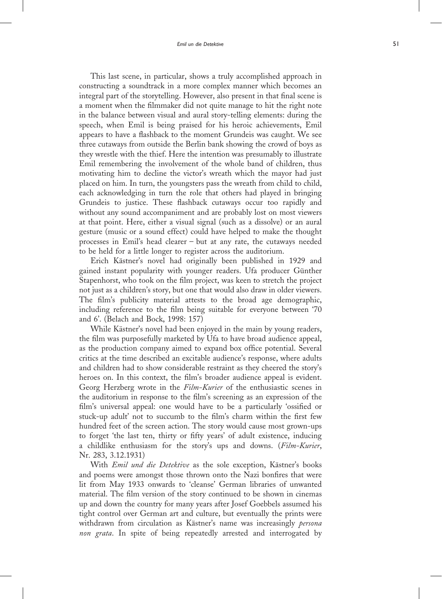This last scene, in particular, shows a truly accomplished approach in constructing a soundtrack in a more complex manner which becomes an integral part of the storytelling. However, also present in that final scene is a moment when the filmmaker did not quite manage to hit the right note in the balance between visual and aural story-telling elements: during the speech, when Emil is being praised for his heroic achievements, Emil appears to have a flashback to the moment Grundeis was caught. We see three cutaways from outside the Berlin bank showing the crowd of boys as they wrestle with the thief. Here the intention was presumably to illustrate Emil remembering the involvement of the whole band of children, thus motivating him to decline the victor's wreath which the mayor had just placed on him. In turn, the youngsters pass the wreath from child to child, each acknowledging in turn the role that others had played in bringing Grundeis to justice. These flashback cutaways occur too rapidly and without any sound accompaniment and are probably lost on most viewers at that point. Here, either a visual signal (such as a dissolve) or an aural gesture (music or a sound effect) could have helped to make the thought processes in Emil's head clearer – but at any rate, the cutaways needed to be held for a little longer to register across the auditorium.

Erich Kästner's novel had originally been published in 1929 and gained instant popularity with younger readers. Ufa producer Günther Stapenhorst, who took on the film project, was keen to stretch the project not just as a children's story, but one that would also draw in older viewers. The film's publicity material attests to the broad age demographic, including reference to the film being suitable for everyone between '70 and 6'. (Belach and Bock, 1998: 157)

While Kästner's novel had been enjoyed in the main by young readers, the film was purposefully marketed by Ufa to have broad audience appeal, as the production company aimed to expand box office potential. Several critics at the time described an excitable audience's response, where adults and children had to show considerable restraint as they cheered the story's heroes on. In this context, the film's broader audience appeal is evident. Georg Herzberg wrote in the Film-Kurier of the enthusiastic scenes in the auditorium in response to the film's screening as an expression of the film's universal appeal: one would have to be a particularly 'ossified or stuck-up adult' not to succumb to the film's charm within the first few hundred feet of the screen action. The story would cause most grown-ups to forget 'the last ten, thirty or fifty years' of adult existence, inducing a childlike enthusiasm for the story's ups and downs. (Film-Kurier, Nr. 283, 3.12.1931)

With Emil und die Detektive as the sole exception, Kästner's books and poems were amongst those thrown onto the Nazi bonfires that were lit from May 1933 onwards to 'cleanse' German libraries of unwanted material. The film version of the story continued to be shown in cinemas up and down the country for many years after Josef Goebbels assumed his tight control over German art and culture, but eventually the prints were withdrawn from circulation as Kästner's name was increasingly *persona* non grata. In spite of being repeatedly arrested and interrogated by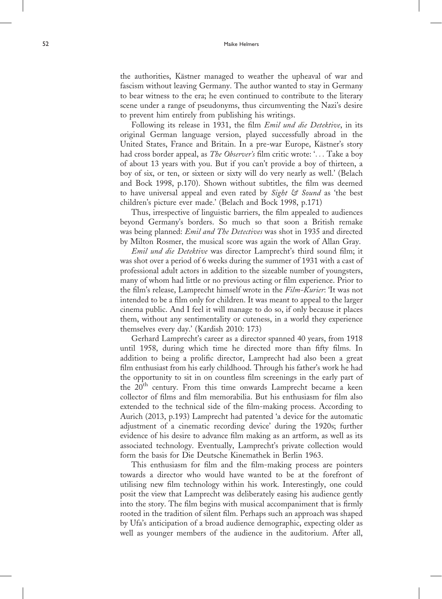the authorities, Kästner managed to weather the upheaval of war and fascism without leaving Germany. The author wanted to stay in Germany to bear witness to the era; he even continued to contribute to the literary scene under a range of pseudonyms, thus circumventing the Nazi's desire to prevent him entirely from publishing his writings.

Following its release in 1931, the film Emil und die Detektive, in its original German language version, played successfully abroad in the United States, France and Britain. In a pre-war Europe, Kästner's story had cross border appeal, as *The Observer's* film critic wrote: '... Take a boy of about 13 years with you. But if you can't provide a boy of thirteen, a boy of six, or ten, or sixteen or sixty will do very nearly as well.' (Belach and Bock 1998, p.170). Shown without subtitles, the film was deemed to have universal appeal and even rated by Sight & Sound as 'the best children's picture ever made.' (Belach and Bock 1998, p.171)

Thus, irrespective of linguistic barriers, the film appealed to audiences beyond Germany's borders. So much so that soon a British remake was being planned: Emil and The Detectives was shot in 1935 and directed by Milton Rosmer, the musical score was again the work of Allan Gray.

Emil und die Detektive was director Lamprecht's third sound film; it was shot over a period of 6 weeks during the summer of 1931 with a cast of professional adult actors in addition to the sizeable number of youngsters, many of whom had little or no previous acting or film experience. Prior to the film's release, Lamprecht himself wrote in the Film-Kurier: 'It was not intended to be a film only for children. It was meant to appeal to the larger cinema public. And I feel it will manage to do so, if only because it places them, without any sentimentality or cuteness, in a world they experience themselves every day.' (Kardish 2010: 173)

Gerhard Lamprecht's career as a director spanned 40 years, from 1918 until 1958, during which time he directed more than fifty films. In addition to being a prolific director, Lamprecht had also been a great film enthusiast from his early childhood. Through his father's work he had the opportunity to sit in on countless film screenings in the early part of the  $20<sup>th</sup>$  century. From this time onwards Lamprecht became a keen collector of films and film memorabilia. But his enthusiasm for film also extended to the technical side of the film-making process. According to Aurich (2013, p.193) Lamprecht had patented 'a device for the automatic adjustment of a cinematic recording device' during the 1920s; further evidence of his desire to advance film making as an artform, as well as its associated technology. Eventually, Lamprecht's private collection would form the basis for Die Deutsche Kinemathek in Berlin 1963.

This enthusiasm for film and the film-making process are pointers towards a director who would have wanted to be at the forefront of utilising new film technology within his work. Interestingly, one could posit the view that Lamprecht was deliberately easing his audience gently into the story. The film begins with musical accompaniment that is firmly rooted in the tradition of silent film. Perhaps such an approach was shaped by Ufa's anticipation of a broad audience demographic, expecting older as well as younger members of the audience in the auditorium. After all,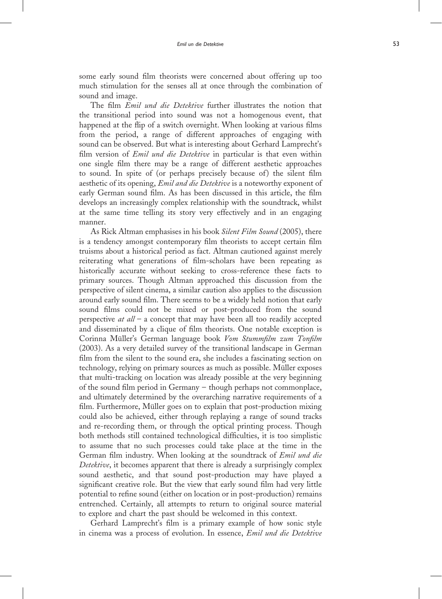some early sound film theorists were concerned about offering up too much stimulation for the senses all at once through the combination of sound and image.

The film Emil und die Detektive further illustrates the notion that the transitional period into sound was not a homogenous event, that happened at the flip of a switch overnight. When looking at various films from the period, a range of different approaches of engaging with sound can be observed. But what is interesting about Gerhard Lamprecht's film version of *Emil und die Detektive* in particular is that even within one single film there may be a range of different aesthetic approaches to sound. In spite of (or perhaps precisely because of) the silent film aesthetic of its opening, *Emil and die Detektive* is a noteworthy exponent of early German sound film. As has been discussed in this article, the film develops an increasingly complex relationship with the soundtrack, whilst at the same time telling its story very effectively and in an engaging manner.

As Rick Altman emphasises in his book Silent Film Sound (2005), there is a tendency amongst contemporary film theorists to accept certain film truisms about a historical period as fact. Altman cautioned against merely reiterating what generations of film-scholars have been repeating as historically accurate without seeking to cross-reference these facts to primary sources. Though Altman approached this discussion from the perspective of silent cinema, a similar caution also applies to the discussion around early sound film. There seems to be a widely held notion that early sound films could not be mixed or post-produced from the sound perspective  $at$   $all - a$  concept that may have been all too readily accepted and disseminated by a clique of film theorists. One notable exception is Corinna Müller's German language book Vom Stummfilm zum Tonfilm (2003). As a very detailed survey of the transitional landscape in German film from the silent to the sound era, she includes a fascinating section on technology, relying on primary sources as much as possible. Müller exposes that multi-tracking on location was already possible at the very beginning of the sound film period in Germany – though perhaps not commonplace, and ultimately determined by the overarching narrative requirements of a film. Furthermore, Müller goes on to explain that post-production mixing could also be achieved, either through replaying a range of sound tracks and re-recording them, or through the optical printing process. Though both methods still contained technological difficulties, it is too simplistic to assume that no such processes could take place at the time in the German film industry. When looking at the soundtrack of Emil und die Detektive, it becomes apparent that there is already a surprisingly complex sound aesthetic, and that sound post-production may have played a significant creative role. But the view that early sound film had very little potential to refine sound (either on location or in post-production) remains entrenched. Certainly, all attempts to return to original source material to explore and chart the past should be welcomed in this context.

Gerhard Lamprecht's film is a primary example of how sonic style in cinema was a process of evolution. In essence, Emil und die Detektive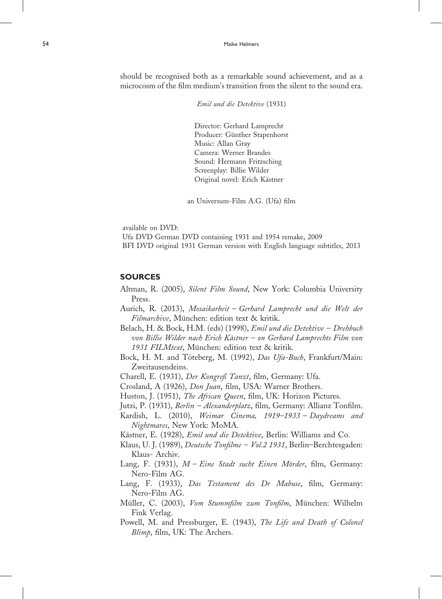should be recognised both as a remarkable sound achievement, and as a microcosm of the film medium's transition from the silent to the sound era.

Emil und die Detektive (1931)

Director: Gerhard Lamprecht Producer: Günther Stapenhorst Music: Allan Gray Camera: Werner Brandes Sound: Hermann Fritzsching Screenplay: Billie Wilder Original novel: Erich Kästner

an Universum-Film A.G. (Ufa) film

available on DVD:

Ufa DVD German DVD containing 1931 and 1954 remake, 2009 BFI DVD original 1931 German version with English language subtitles, 2013

### SOURCES

- Altman, R. (2005), Silent Film Sound, New York: Columbia University Press.
- Aurich, R. (2013), Mosaikarbeit Gerhard Lamprecht und die Welt der Filmarchive, München: edition text & kritik.
- Belach, H. & Bock, H.M. (eds) (1998), Emil und die Detektive Drehbuch von Billie Wilder nach Erich Kästner – on Gerhard Lamprechts Film von 1931 FILMtext, München: edition text & kritik.
- Bock, H. M. and Töteberg, M. (1992), Das Ufa-Buch, Frankfurt/Main: Zweitausendeins.
- Charell, E. (1931), Der Kongreß Tanzt, film, Germany: Ufa.
- Crosland, A (1926), Don Juan, film, USA: Warner Brothers.
- Huston, J. (1951), The African Queen, film, UK: Horizon Pictures.
- Jutzi, P. (1931), *Berlin Alexanderplatz*, film, Germany: Allianz Tonfilm.
- Kardish, L. (2010), Weimar Cinema, 1919–1933 Daydreams and Nightmares, New York: MoMA.
- Kästner, E. (1928), *Emil und die Detektive*, Berlin: Williams and Co.
- Klaus, U. J. (1989), Deutsche Tonfilme Vol.2 1931, Berlin-Berchtesgaden: Klaus- Archiv.
- Lang, F. (1931),  $M$  Eine Stadt sucht Einen Mörder, film, Germany: Nero-Film AG.
- Lang, F. (1933), Das Testament des Dr Mabuse, film, Germany: Nero-Film AG.
- Müller, C. (2003), Vom Stummfilm zum Tonfilm, München: Wilhelm Fink Verlag.
- Powell, M. and Pressburger, E. (1943), The Life and Death of Colonel Blimp, film, UK: The Archers.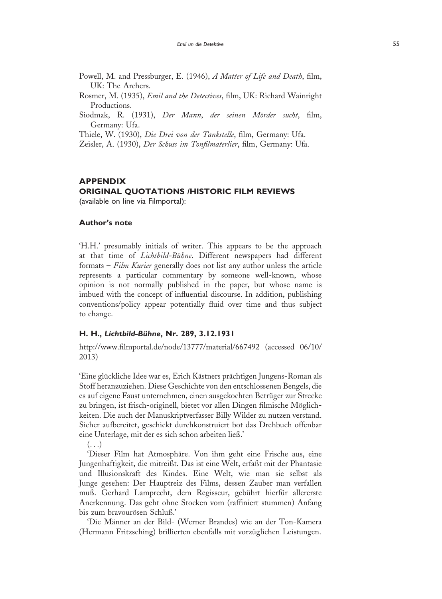- Powell, M. and Pressburger, E. (1946), A Matter of Life and Death, film, UK: The Archers.
- Rosmer, M. (1935), Emil and the Detectives, film, UK: Richard Wainright Productions.
- Siodmak, R. (1931), Der Mann, der seinen Mörder sucht, film, Germany: Ufa.

Thiele, W. (1930), Die Drei von der Tankstelle, film, Germany: Ufa.

Zeisler, A. (1930), Der Schuss im Tonfilmaterlier, film, Germany: Ufa.

## APPENDIX ORIGINAL QUOTATIONS /HISTORIC FILM REVIEWS (available on line via Filmportal):

#### Author's note

'H.H.' presumably initials of writer. This appears to be the approach at that time of Lichtbild-Bühne. Different newspapers had different formats - Film Kurier generally does not list any author unless the article represents a particular commentary by someone well-known, whose opinion is not normally published in the paper, but whose name is imbued with the concept of influential discourse. In addition, publishing conventions/policy appear potentially fluid over time and thus subject to change.

#### H. H., Lichtbild-Bühne, Nr. 289, 3.12.1931

http://www.filmportal.de/node/13777/material/667492 (accessed 06/10/ 2013)

'Eine glückliche Idee war es, Erich Kästners prächtigen Jungens-Roman als Stoff heranzuziehen. Diese Geschichte von den entschlossenen Bengels, die es auf eigene Faust unternehmen, einen ausgekochten Betrüger zur Strecke zu bringen, ist frisch-originell, bietet vor allen Dingen filmische Möglichkeiten. Die auch der Manuskriptverfasser Billy Wilder zu nutzen verstand. Sicher aufbereitet, geschickt durchkonstruiert bot das Drehbuch offenbar eine Unterlage, mit der es sich schon arbeiten ließ.'

 $\left( \ldots \right)$ 

'Dieser Film hat Atmosphäre. Von ihm geht eine Frische aus, eine Jungenhaftigkeit, die mitreißt. Das ist eine Welt, erfaßt mit der Phantasie und Illusionskraft des Kindes. Eine Welt, wie man sie selbst als Junge gesehen: Der Hauptreiz des Films, dessen Zauber man verfallen muß. Gerhard Lamprecht, dem Regisseur, gebührt hierfür allererste Anerkennung. Das geht ohne Stocken vom (raffiniert stummen) Anfang bis zum bravourösen Schluß.'

'Die Männer an der Bild- (Werner Brandes) wie an der Ton-Kamera (Hermann Fritzsching) brillierten ebenfalls mit vorzüglichen Leistungen.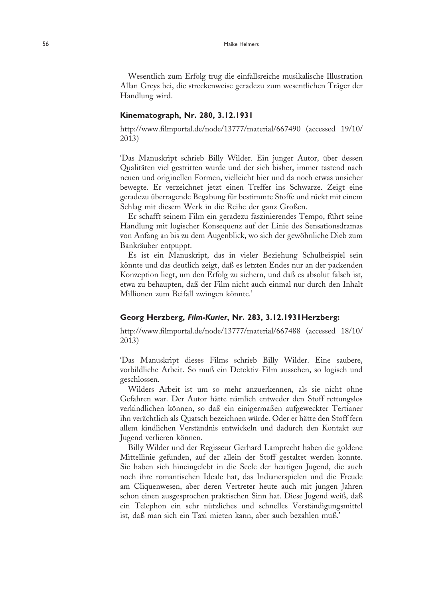Wesentlich zum Erfolg trug die einfallsreiche musikalische Illustration Allan Greys bei, die streckenweise geradezu zum wesentlichen Träger der Handlung wird.

#### Kinematograph, Nr. 280, 3.12.1931

http://www.filmportal.de/node/13777/material/667490 (accessed 19/10/ 2013)

'Das Manuskript schrieb Billy Wilder. Ein junger Autor, über dessen Qualitäten viel gestritten wurde und der sich bisher, immer tastend nach neuen und originellen Formen, vielleicht hier und da noch etwas unsicher bewegte. Er verzeichnet jetzt einen Treffer ins Schwarze. Zeigt eine geradezu überragende Begabung für bestimmte Stoffe und rückt mit einem Schlag mit diesem Werk in die Reihe der ganz Großen.

Er schafft seinem Film ein geradezu faszinierendes Tempo, führt seine Handlung mit logischer Konsequenz auf der Linie des Sensationsdramas von Anfang an bis zu dem Augenblick, wo sich der gewöhnliche Dieb zum Bankräuber entpuppt.

Es ist ein Manuskript, das in vieler Beziehung Schulbeispiel sein könnte und das deutlich zeigt, daß es letzten Endes nur an der packenden Konzeption liegt, um den Erfolg zu sichern, und daß es absolut falsch ist, etwa zu behaupten, daß der Film nicht auch einmal nur durch den Inhalt Millionen zum Beifall zwingen könnte.'

#### Georg Herzberg, Film-Kurier, Nr. 283, 3.12.1931Herzberg:

http://www.filmportal.de/node/13777/material/667488 (accessed 18/10/ 2013)

'Das Manuskript dieses Films schrieb Billy Wilder. Eine saubere, vorbildliche Arbeit. So muß ein Detektiv-Film aussehen, so logisch und geschlossen.

Wilders Arbeit ist um so mehr anzuerkennen, als sie nicht ohne Gefahren war. Der Autor hätte nämlich entweder den Stoff rettungslos verkindlichen können, so daß ein einigermaßen aufgeweckter Tertianer ihn verächtlich als Quatsch bezeichnen würde. Oder er hätte den Stoff fern allem kindlichen Verständnis entwickeln und dadurch den Kontakt zur Jugend verlieren können.

Billy Wilder und der Regisseur Gerhard Lamprecht haben die goldene Mittellinie gefunden, auf der allein der Stoff gestaltet werden konnte. Sie haben sich hineingelebt in die Seele der heutigen Jugend, die auch noch ihre romantischen Ideale hat, das Indianerspielen und die Freude am Cliquenwesen, aber deren Vertreter heute auch mit jungen Jahren schon einen ausgesprochen praktischen Sinn hat. Diese Jugend weiß, daß ein Telephon ein sehr nützliches und schnelles Verständigungsmittel ist, daß man sich ein Taxi mieten kann, aber auch bezahlen muß.'